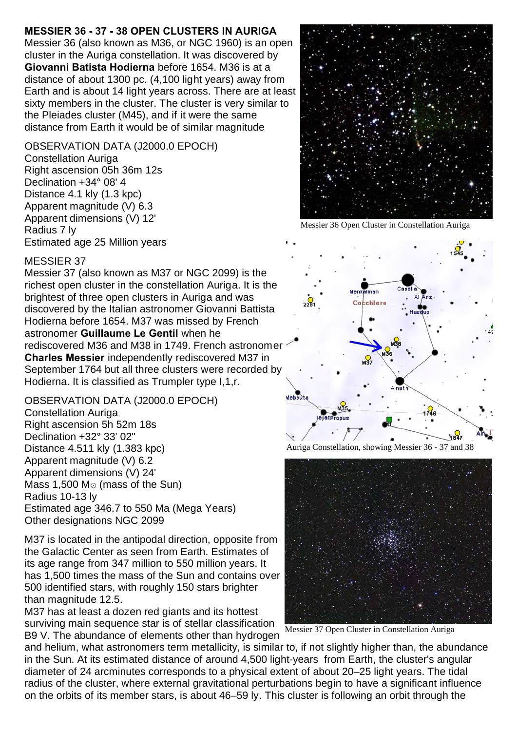# **MESSIER 36 - 37 - 38 OPEN CLUSTERS IN AURIGA**

Messier 36 (also known as M36, or NGC 1960) is an open cluster in the Auriga constellation. It was discovered by **Giovanni Batista Hodierna** before 1654. M36 is at a distance of about 1300 pc. (4,100 light years) away from Earth and is about 14 light years across. There are at least sixty members in the cluster. The cluster is very similar to the Pleiades cluster (M45), and if it were the same distance from Earth it would be of similar magnitude

# OBSERVATION DATA (J2000.0 EPOCH)

Constellation Auriga Right ascension 05h 36m 12s Declination +34° 08' 4 Distance 4.1 kly (1.3 kpc) Apparent magnitude (V) 6.3 Apparent dimensions (V) 12' Radius 7 ly Estimated age 25 Million years



Messier 36 Open Cluster in Constellation Auriga

#### MESSIER 37

Messier 37 (also known as M37 or NGC 2099) is the richest open cluster in the constellation Auriga. It is the brightest of three open clusters in Auriga and was discovered by the Italian astronomer Giovanni Battista Hodierna before 1654. M37 was missed by French astronomer **Guillaume Le Gentil** when he rediscovered M36 and M38 in 1749. French astronomer **Charles Messier** independently rediscovered M37 in September 1764 but all three clusters were recorded by Hodierna. It is classified as Trumpler type I,1,r.

OBSERVATION DATA (J2000.0 EPOCH) Constellation Auriga Right ascension 5h 52m 18s Declination +32° 33' 02" Distance 4.511 kly (1.383 kpc) Apparent magnitude (V) 6.2 Apparent dimensions (V) 24' Mass  $1,500$  M $\odot$  (mass of the Sun) Radius 10-13 ly Estimated age 346.7 to 550 Ma (Mega Years) Other designations NGC 2099

M37 is located in the antipodal direction, opposite from the Galactic Center as seen from Earth. Estimates of its age range from 347 million to 550 million years. It has 1,500 times the mass of the Sun and contains over 500 identified stars, with roughly 150 stars brighter than magnitude 12.5.

M37 has at least a dozen red giants and its hottest surviving main sequence star is of stellar classification B9 V. The abundance of elements other than hydrogen



Auriga Constellation, showing Messier 36 - 37 and 38



Messier 37 Open Cluster in Constellation Auriga

and helium, what astronomers term metallicity, is similar to, if not slightly higher than, the abundance in the Sun. At its estimated distance of around 4,500 light-years from Earth, the cluster's angular diameter of 24 arcminutes corresponds to a physical extent of about 20–25 light years. The tidal radius of the cluster, where external gravitational perturbations begin to have a significant influence on the orbits of its member stars, is about 46–59 ly. This cluster is following an orbit through the